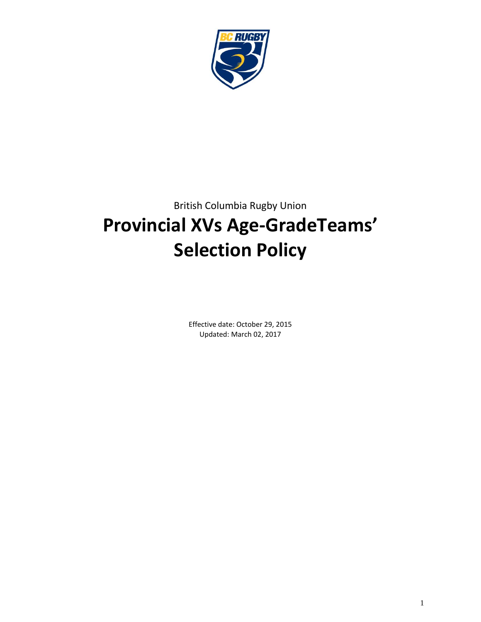

# British Columbia Rugby Union **Provincial XVs Age-GradeTeams' Selection Policy**

Effective date: October 29, 2015 Updated: March 02, 2017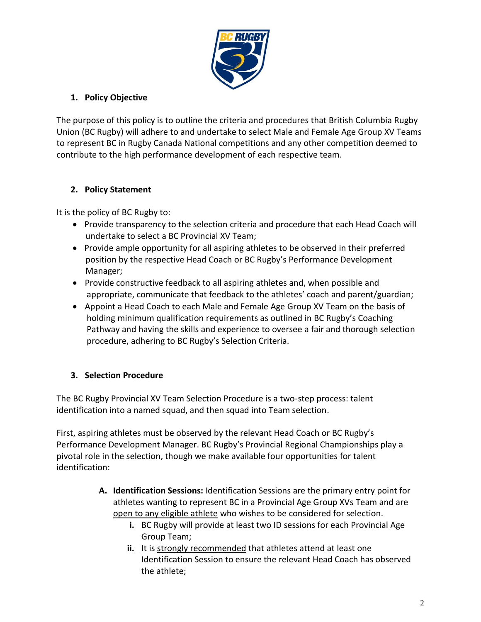

## **1. Policy Objective**

The purpose of this policy is to outline the criteria and procedures that British Columbia Rugby Union (BC Rugby) will adhere to and undertake to select Male and Female Age Group XV Teams to represent BC in Rugby Canada National competitions and any other competition deemed to contribute to the high performance development of each respective team.

## **2. Policy Statement**

It is the policy of BC Rugby to:

- Provide transparency to the selection criteria and procedure that each Head Coach will undertake to select a BC Provincial XV Team;
- Provide ample opportunity for all aspiring athletes to be observed in their preferred position by the respective Head Coach or BC Rugby's Performance Development Manager;
- Provide constructive feedback to all aspiring athletes and, when possible and appropriate, communicate that feedback to the athletes' coach and parent/guardian;
- Appoint a Head Coach to each Male and Female Age Group XV Team on the basis of holding minimum qualification requirements as outlined in BC Rugby's Coaching Pathway and having the skills and experience to oversee a fair and thorough selection procedure, adhering to BC Rugby's Selection Criteria.

## **3. Selection Procedure**

The BC Rugby Provincial XV Team Selection Procedure is a two-step process: talent identification into a named squad, and then squad into Team selection.

First, aspiring athletes must be observed by the relevant Head Coach or BC Rugby's Performance Development Manager. BC Rugby's Provincial Regional Championships play a pivotal role in the selection, though we make available four opportunities for talent identification:

- **A. Identification Sessions:** Identification Sessions are the primary entry point for athletes wanting to represent BC in a Provincial Age Group XVs Team and are open to any eligible athlete who wishes to be considered for selection.
	- **i.** BC Rugby will provide at least two ID sessions for each Provincial Age Group Team;
	- ii. It is strongly recommended that athletes attend at least one Identification Session to ensure the relevant Head Coach has observed the athlete;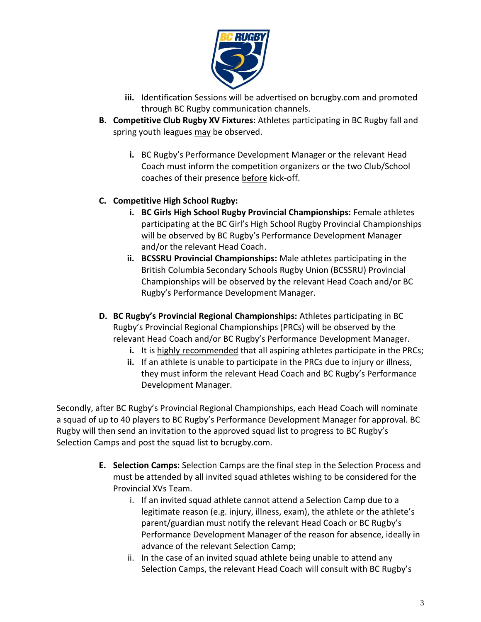

- **iii.** Identification Sessions will be advertised on bcrugby.com and promoted through BC Rugby communication channels.
- **B. Competitive Club Rugby XV Fixtures:** Athletes participating in BC Rugby fall and spring youth leagues may be observed.
	- **i.** BC Rugby's Performance Development Manager or the relevant Head Coach must inform the competition organizers or the two Club/School coaches of their presence before kick-off.

## **C. Competitive High School Rugby:**

- **i. BC Girls High School Rugby Provincial Championships:** Female athletes participating at the BC Girl's High School Rugby Provincial Championships will be observed by BC Rugby's Performance Development Manager and/or the relevant Head Coach.
- **ii. BCSSRU Provincial Championships:** Male athletes participating in the British Columbia Secondary Schools Rugby Union (BCSSRU) Provincial Championships will be observed by the relevant Head Coach and/or BC Rugby's Performance Development Manager.
- **D. BC Rugby's Provincial Regional Championships:** Athletes participating in BC Rugby's Provincial Regional Championships (PRCs) will be observed by the relevant Head Coach and/or BC Rugby's Performance Development Manager.
	- **i.** It is highly recommended that all aspiring athletes participate in the PRCs;
	- **ii.** If an athlete is unable to participate in the PRCs due to injury or illness, they must inform the relevant Head Coach and BC Rugby's Performance Development Manager.

Secondly, after BC Rugby's Provincial Regional Championships, each Head Coach will nominate a squad of up to 40 players to BC Rugby's Performance Development Manager for approval. BC Rugby will then send an invitation to the approved squad list to progress to BC Rugby's Selection Camps and post the squad list to bcrugby.com.

- **E. Selection Camps:** Selection Camps are the final step in the Selection Process and must be attended by all invited squad athletes wishing to be considered for the Provincial XVs Team.
	- i. If an invited squad athlete cannot attend a Selection Camp due to a legitimate reason (e.g. injury, illness, exam), the athlete or the athlete's parent/guardian must notify the relevant Head Coach or BC Rugby's Performance Development Manager of the reason for absence, ideally in advance of the relevant Selection Camp;
	- ii. In the case of an invited squad athlete being unable to attend any Selection Camps, the relevant Head Coach will consult with BC Rugby's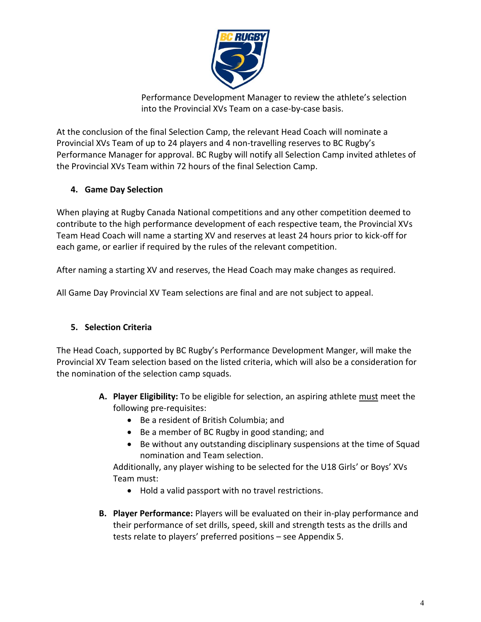

Performance Development Manager to review the athlete's selection into the Provincial XVs Team on a case-by-case basis.

At the conclusion of the final Selection Camp, the relevant Head Coach will nominate a Provincial XVs Team of up to 24 players and 4 non-travelling reserves to BC Rugby's Performance Manager for approval. BC Rugby will notify all Selection Camp invited athletes of the Provincial XVs Team within 72 hours of the final Selection Camp.

## **4. Game Day Selection**

When playing at Rugby Canada National competitions and any other competition deemed to contribute to the high performance development of each respective team, the Provincial XVs Team Head Coach will name a starting XV and reserves at least 24 hours prior to kick-off for each game, or earlier if required by the rules of the relevant competition.

After naming a starting XV and reserves, the Head Coach may make changes as required.

All Game Day Provincial XV Team selections are final and are not subject to appeal.

#### **5. Selection Criteria**

The Head Coach, supported by BC Rugby's Performance Development Manger, will make the Provincial XV Team selection based on the listed criteria, which will also be a consideration for the nomination of the selection camp squads.

- **A. Player Eligibility:** To be eligible for selection, an aspiring athlete must meet the following pre-requisites:
	- Be a resident of British Columbia; and
	- Be a member of BC Rugby in good standing; and
	- Be without any outstanding disciplinary suspensions at the time of Squad nomination and Team selection.

Additionally, any player wishing to be selected for the U18 Girls' or Boys' XVs Team must:

- Hold a valid passport with no travel restrictions.
- **B. Player Performance:** Players will be evaluated on their in-play performance and their performance of set drills, speed, skill and strength tests as the drills and tests relate to players' preferred positions – see Appendix 5.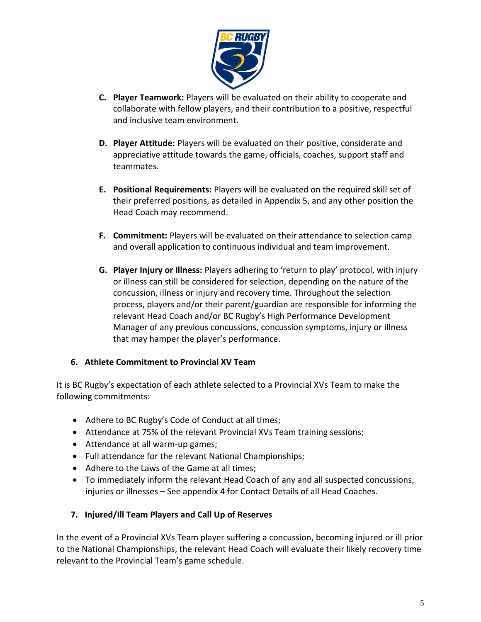

- **C. Player Teamwork:** Players will be evaluated on their ability to cooperate and collaborate with fellow players, and their contribution to a positive, respectful and inclusive team environment.
- **D. Player Attitude:** Players will be evaluated on their positive, considerate and appreciative attitude towards the game, officials, coaches, support staff and teammates.
- **E. Positional Requirements:** Players will be evaluated on the required skill set of their preferred positions, as detailed in Appendix 5, and any other position the Head Coach may recommend.
- **F. Commitment:** Players will be evaluated on their attendance to selection camp and overall application to continuous individual and team improvement.
- **G. Player Injury or Illness:** Players adhering to 'return to play' protocol, with injury or illness can still be considered for selection, depending on the nature of the concussion, illness or injury and recovery time. Throughout the selection process, players and/or their parent/guardian are responsible for informing the relevant Head Coach and/or BC Rugby's High Performance Development Manager of any previous concussions, concussion symptoms, injury or illness that may hamper the player's performance.

#### **6. Athlete Commitment to Provincial XV Team**

It is BC Rugby's expectation of each athlete selected to a Provincial XVs Team to make the following commitments:

- Adhere to BC Rugby's Code of Conduct at all times;
- Attendance at 75% of the relevant Provincial XVs Team training sessions;
- Attendance at all warm-up games;
- Full attendance for the relevant National Championships;
- Adhere to the Laws of the Game at all times;
- To immediately inform the relevant Head Coach of any and all suspected concussions, injuries or illnesses – See appendix 4 for Contact Details of all Head Coaches.

## **7. Injured/Ill Team Players and Call Up of Reserves**

In the event of a Provincial XVs Team player suffering a concussion, becoming injured or ill prior to the National Championships, the relevant Head Coach will evaluate their likely recovery time relevant to the Provincial Team's game schedule.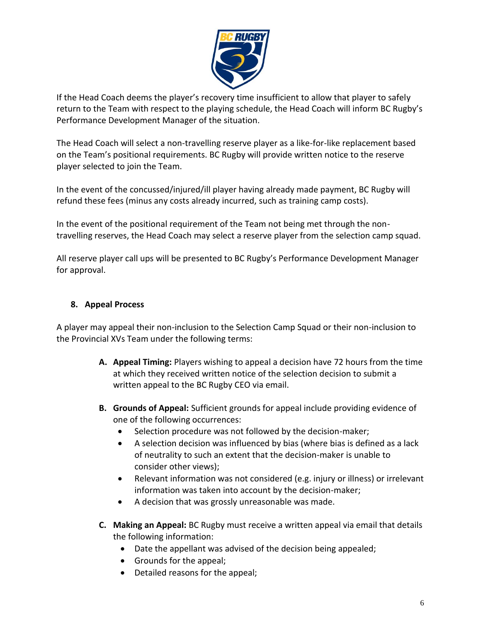

If the Head Coach deems the player's recovery time insufficient to allow that player to safely return to the Team with respect to the playing schedule, the Head Coach will inform BC Rugby's Performance Development Manager of the situation.

The Head Coach will select a non-travelling reserve player as a like-for-like replacement based on the Team's positional requirements. BC Rugby will provide written notice to the reserve player selected to join the Team.

In the event of the concussed/injured/ill player having already made payment, BC Rugby will refund these fees (minus any costs already incurred, such as training camp costs).

In the event of the positional requirement of the Team not being met through the nontravelling reserves, the Head Coach may select a reserve player from the selection camp squad.

All reserve player call ups will be presented to BC Rugby's Performance Development Manager for approval.

#### **8. Appeal Process**

A player may appeal their non-inclusion to the Selection Camp Squad or their non-inclusion to the Provincial XVs Team under the following terms:

- **A. Appeal Timing:** Players wishing to appeal a decision have 72 hours from the time at which they received written notice of the selection decision to submit a written appeal to the BC Rugby CEO via email.
- **B. Grounds of Appeal:** Sufficient grounds for appeal include providing evidence of one of the following occurrences:
	- Selection procedure was not followed by the decision-maker;
	- A selection decision was influenced by bias (where bias is defined as a lack of neutrality to such an extent that the decision-maker is unable to consider other views);
	- Relevant information was not considered (e.g. injury or illness) or irrelevant information was taken into account by the decision-maker;
	- A decision that was grossly unreasonable was made.
- **C. Making an Appeal:** BC Rugby must receive a written appeal via email that details the following information:
	- Date the appellant was advised of the decision being appealed;
	- Grounds for the appeal;
	- Detailed reasons for the appeal;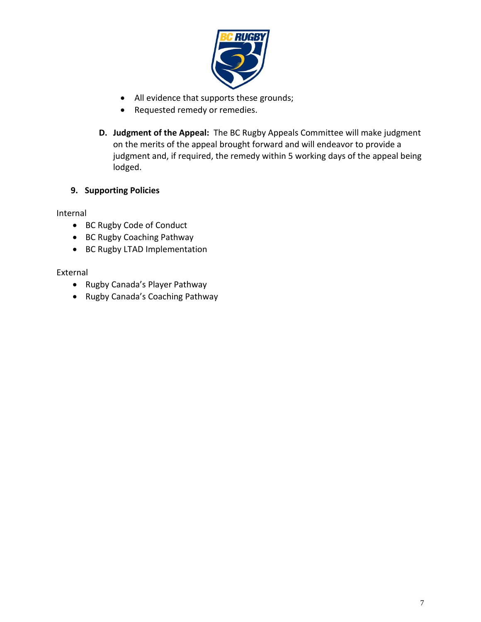

- All evidence that supports these grounds;
- Requested remedy or remedies.
- **D. Judgment of the Appeal:** The BC Rugby Appeals Committee will make judgment on the merits of the appeal brought forward and will endeavor to provide a judgment and, if required, the remedy within 5 working days of the appeal being lodged.

#### **9. Supporting Policies**

Internal

- BC Rugby Code of Conduct
- BC Rugby Coaching Pathway
- BC Rugby LTAD Implementation

External

- Rugby Canada's Player Pathway
- Rugby Canada's Coaching Pathway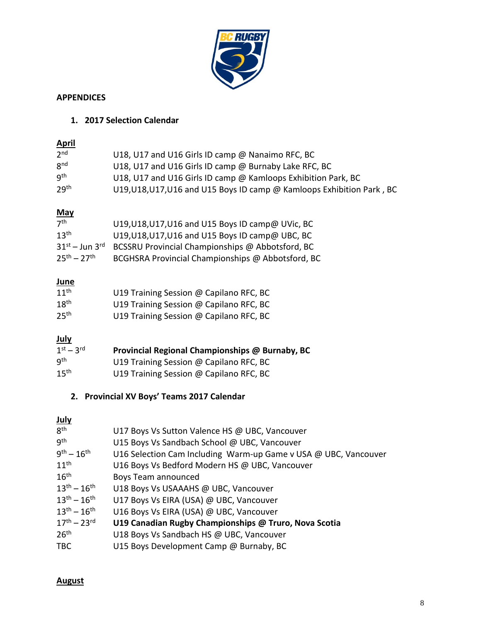

#### **APPENDICES**

## **1. 2017 Selection Calendar**

| <b>April</b>             |                                                                        |
|--------------------------|------------------------------------------------------------------------|
| 2 <sup>nd</sup>          | U18, U17 and U16 Girls ID camp @ Nanaimo RFC, BC                       |
| 8 <sup>nd</sup>          | U18, U17 and U16 Girls ID camp @ Burnaby Lake RFC, BC                  |
| gth                      | U18, U17 and U16 Girls ID camp @ Kamloops Exhibition Park, BC          |
| 29 <sup>th</sup>         | U19, U18, U17, U16 and U15 Boys ID camp @ Kamloops Exhibition Park, BC |
| <u>May</u>               |                                                                        |
| 7 <sup>th</sup>          | U19, U18, U17, U16 and U15 Boys ID camp@ UVic, BC                      |
| 13 <sup>th</sup>         | U19, U18, U17, U16 and U15 Boys ID camp@ UBC, BC                       |
| $31^{st}$ – Jun $3^{rd}$ | BCSSRU Provincial Championships @ Abbotsford, BC                       |
| $25^{th} - 27^{th}$      | BCGHSRA Provincial Championships @ Abbotsford, BC                      |
| June                     |                                                                        |

| $11^{th}$        | U19 Training Session @ Capilano RFC, BC |
|------------------|-----------------------------------------|
| 18 <sup>th</sup> | U19 Training Session @ Capilano RFC, BC |
| 25 <sup>th</sup> | U19 Training Session @ Capilano RFC, BC |

## **July**

| $1st - 3rd$      | Provincial Regional Championships @ Burnaby, BC |
|------------------|-------------------------------------------------|
| q <sup>th</sup>  | U19 Training Session @ Capilano RFC, BC         |
| 15 <sup>th</sup> | U19 Training Session @ Capilano RFC, BC         |

## **2. Provincial XV Boys' Teams 2017 Calendar**

## **July**

| 8 <sup>th</sup>     | U17 Boys Vs Sutton Valence HS @ UBC, Vancouver                  |
|---------------------|-----------------------------------------------------------------|
| gth                 | U15 Boys Vs Sandbach School @ UBC, Vancouver                    |
| $9^{th} - 16^{th}$  | U16 Selection Cam Including Warm-up Game v USA @ UBC, Vancouver |
| $11^{th}$           | U16 Boys Vs Bedford Modern HS @ UBC, Vancouver                  |
| $16^{\text{th}}$    | Boys Team announced                                             |
| $13^{th} - 16^{th}$ | U18 Boys Vs USAAAHS @ UBC, Vancouver                            |
| $13^{th} - 16^{th}$ | U17 Boys Vs EIRA (USA) @ UBC, Vancouver                         |
| $13^{th} - 16^{th}$ | U16 Boys Vs EIRA (USA) @ UBC, Vancouver                         |
| $17^{th} - 23^{rd}$ | U19 Canadian Rugby Championships @ Truro, Nova Scotia           |
| 26 <sup>th</sup>    | U18 Boys Vs Sandbach HS @ UBC, Vancouver                        |
| <b>TBC</b>          | U15 Boys Development Camp @ Burnaby, BC                         |

#### **August**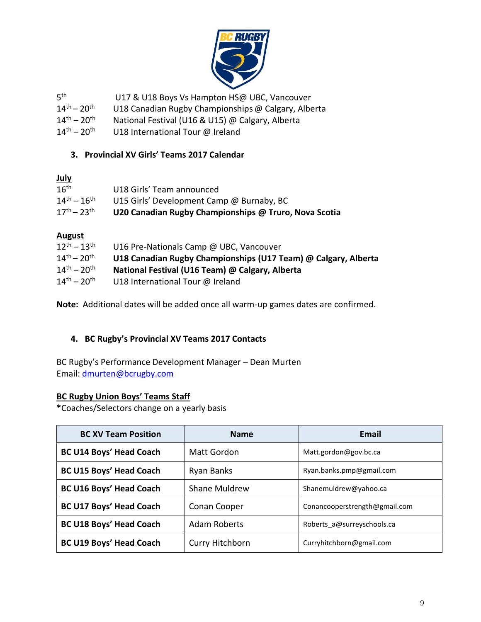

| 5 <sup>th</sup> | U17 & U18 Boys Vs Hampton HS@ UBC, Vancouver |
|-----------------|----------------------------------------------|
|                 |                                              |

- $14^{\text{th}} 20^{\text{th}}$ U18 Canadian Rugby Championships @ Calgary, Alberta
- $14^{th} 20^{th}$ National Festival (U16 & U15) @ Calgary, Alberta
- $14^{\text{th}} 20^{\text{th}}$ U18 International Tour @ Ireland

#### **3. Provincial XV Girls' Teams 2017 Calendar**

#### **July**

| 16 <sup>th</sup>    | U18 Girls' Team announced                             |
|---------------------|-------------------------------------------------------|
| $14^{th} - 16^{th}$ | U15 Girls' Development Camp @ Burnaby, BC             |
| $17^{th} - 23^{th}$ | U20 Canadian Rugby Championships @ Truro, Nova Scotia |

#### **August**

| $12^{th} - 13^{th}$               | U16 Pre-Nationals Camp @ UBC, Vancouver                        |
|-----------------------------------|----------------------------------------------------------------|
| $14^{\text{th}} - 20^{\text{th}}$ | U18 Canadian Rugby Championships (U17 Team) @ Calgary, Alberta |
| $14^{\text{th}} - 20^{\text{th}}$ | National Festival (U16 Team) @ Calgary, Alberta                |
| $14^{th} - 20^{th}$               | U18 International Tour @ Ireland                               |
|                                   |                                                                |

**Note:** Additional dates will be added once all warm-up games dates are confirmed.

#### **4. BC Rugby's Provincial XV Teams 2017 Contacts**

BC Rugby's Performance Development Manager – Dean Murten Email: [dmurten@bcrugby.com](mailto:dmurten@bcrugby.com)

#### **BC Rugby Union Boys' Teams Staff**

**\***Coaches/Selectors change on a yearly basis

| <b>BC XV Team Position</b>                                                    | <b>Name</b>          | Email                         |  |
|-------------------------------------------------------------------------------|----------------------|-------------------------------|--|
| <b>BC U14 Boys' Head Coach</b>                                                | Matt Gordon          | Matt.gordon@gov.bc.ca         |  |
| <b>BC U15 Boys' Head Coach</b>                                                | Ryan Banks           | Ryan.banks.pmp@gmail.com      |  |
| <b>BC U16 Boys' Head Coach</b>                                                | <b>Shane Muldrew</b> | Shanemuldrew@yahoo.ca         |  |
| <b>BC U17 Boys' Head Coach</b>                                                | Conan Cooper         | Conancooperstrength@gmail.com |  |
| <b>BC U18 Boys' Head Coach</b>                                                | <b>Adam Roberts</b>  | Roberts a@surreyschools.ca    |  |
| <b>BC U19 Boys' Head Coach</b><br>Curry Hitchborn<br>Curryhitchborn@gmail.com |                      |                               |  |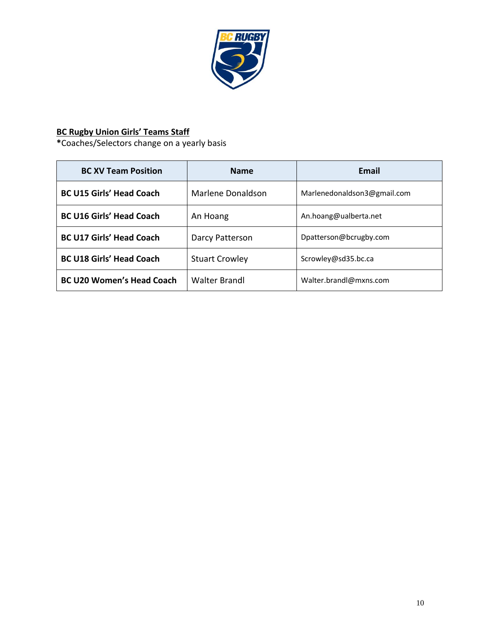

## **BC Rugby Union Girls' Teams Staff**

**\***Coaches/Selectors change on a yearly basis

| <b>BC XV Team Position</b>       | <b>Name</b>           | Email                       |
|----------------------------------|-----------------------|-----------------------------|
| <b>BC U15 Girls' Head Coach</b>  | Marlene Donaldson     | Marlenedonaldson3@gmail.com |
| <b>BC U16 Girls' Head Coach</b>  | An Hoang              | An.hoang@ualberta.net       |
| <b>BC U17 Girls' Head Coach</b>  | Darcy Patterson       | Dpatterson@bcrugby.com      |
| <b>BC U18 Girls' Head Coach</b>  | <b>Stuart Crowley</b> | Scrowley@sd35.bc.ca         |
| <b>BC U20 Women's Head Coach</b> | <b>Walter Brandl</b>  | Walter.brandl@mxns.com      |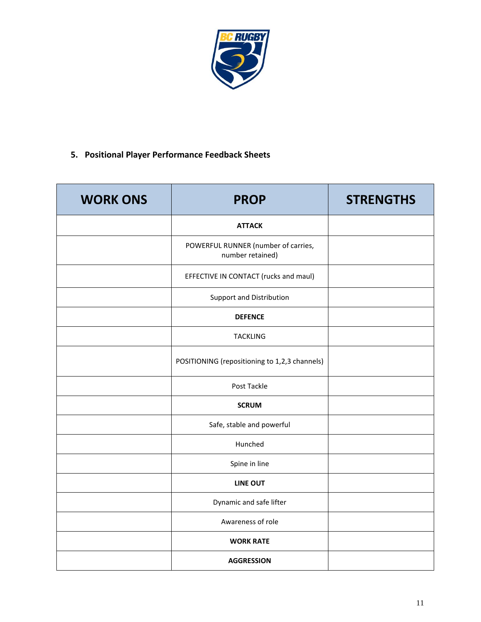

## **5. Positional Player Performance Feedback Sheets**

| <b>WORK ONS</b> | <b>PROP</b>                                             | <b>STRENGTHS</b> |
|-----------------|---------------------------------------------------------|------------------|
|                 | <b>ATTACK</b>                                           |                  |
|                 | POWERFUL RUNNER (number of carries,<br>number retained) |                  |
|                 | EFFECTIVE IN CONTACT (rucks and maul)                   |                  |
|                 | Support and Distribution                                |                  |
|                 | <b>DEFENCE</b>                                          |                  |
|                 | <b>TACKLING</b>                                         |                  |
|                 | POSITIONING (repositioning to 1,2,3 channels)           |                  |
|                 | Post Tackle                                             |                  |
|                 | <b>SCRUM</b>                                            |                  |
|                 | Safe, stable and powerful                               |                  |
|                 | Hunched                                                 |                  |
|                 | Spine in line                                           |                  |
|                 | <b>LINE OUT</b>                                         |                  |
|                 | Dynamic and safe lifter                                 |                  |
|                 | Awareness of role                                       |                  |
|                 | <b>WORK RATE</b>                                        |                  |
|                 | <b>AGGRESSION</b>                                       |                  |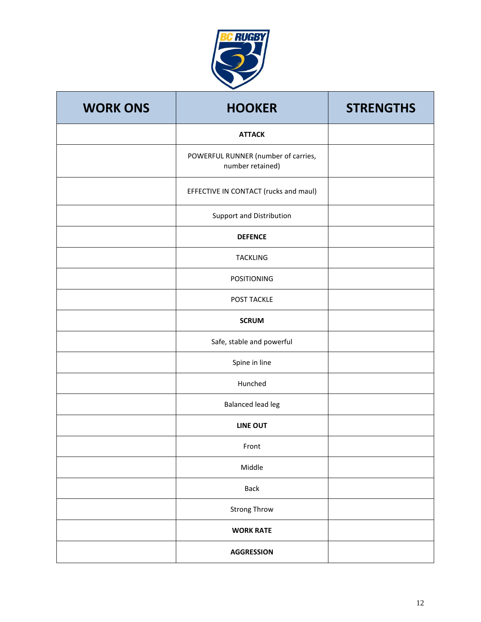

| <b>WORK ONS</b> | <b>HOOKER</b>                                           | <b>STRENGTHS</b> |
|-----------------|---------------------------------------------------------|------------------|
|                 | <b>ATTACK</b>                                           |                  |
|                 | POWERFUL RUNNER (number of carries,<br>number retained) |                  |
|                 | EFFECTIVE IN CONTACT (rucks and maul)                   |                  |
|                 | Support and Distribution                                |                  |
|                 | <b>DEFENCE</b>                                          |                  |
|                 | <b>TACKLING</b>                                         |                  |
|                 | <b>POSITIONING</b>                                      |                  |
|                 | POST TACKLE                                             |                  |
|                 | <b>SCRUM</b>                                            |                  |
|                 | Safe, stable and powerful                               |                  |
|                 | Spine in line                                           |                  |
|                 | Hunched                                                 |                  |
|                 | <b>Balanced lead leg</b>                                |                  |
|                 | <b>LINE OUT</b>                                         |                  |
|                 | Front                                                   |                  |
|                 | Middle                                                  |                  |
|                 | <b>Back</b>                                             |                  |
|                 | <b>Strong Throw</b>                                     |                  |
|                 | <b>WORK RATE</b>                                        |                  |
|                 | <b>AGGRESSION</b>                                       |                  |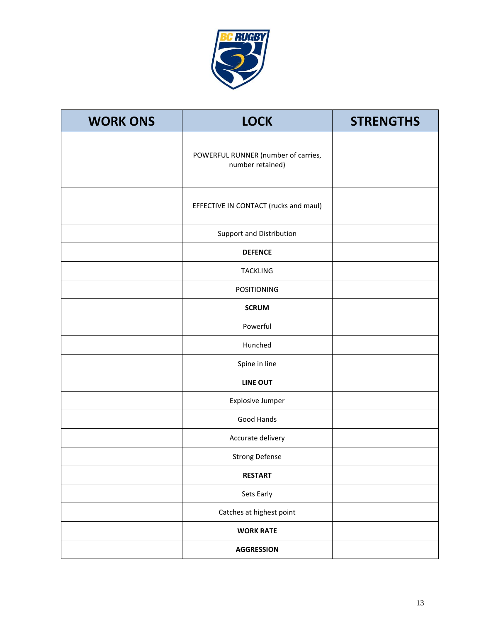

| <b>WORK ONS</b> | <b>LOCK</b>                                             | <b>STRENGTHS</b> |
|-----------------|---------------------------------------------------------|------------------|
|                 | POWERFUL RUNNER (number of carries,<br>number retained) |                  |
|                 | EFFECTIVE IN CONTACT (rucks and maul)                   |                  |
|                 | Support and Distribution                                |                  |
|                 | <b>DEFENCE</b>                                          |                  |
|                 | <b>TACKLING</b>                                         |                  |
|                 | <b>POSITIONING</b>                                      |                  |
|                 | <b>SCRUM</b>                                            |                  |
|                 | Powerful                                                |                  |
|                 | Hunched                                                 |                  |
|                 | Spine in line                                           |                  |
|                 | <b>LINE OUT</b>                                         |                  |
|                 | <b>Explosive Jumper</b>                                 |                  |
|                 | Good Hands                                              |                  |
|                 | Accurate delivery                                       |                  |
|                 | <b>Strong Defense</b>                                   |                  |
|                 | <b>RESTART</b>                                          |                  |
|                 | Sets Early                                              |                  |
|                 | Catches at highest point                                |                  |
|                 | <b>WORK RATE</b>                                        |                  |
|                 | <b>AGGRESSION</b>                                       |                  |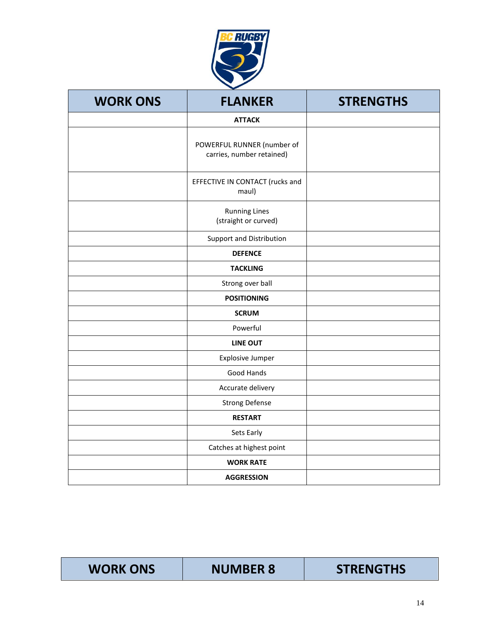

| <b>WORK ONS</b> | <b>FLANKER</b>                                          | <b>STRENGTHS</b> |
|-----------------|---------------------------------------------------------|------------------|
|                 | <b>ATTACK</b>                                           |                  |
|                 | POWERFUL RUNNER (number of<br>carries, number retained) |                  |
|                 | EFFECTIVE IN CONTACT (rucks and<br>maul)                |                  |
|                 | <b>Running Lines</b><br>(straight or curved)            |                  |
|                 | Support and Distribution                                |                  |
|                 | <b>DEFENCE</b>                                          |                  |
|                 | <b>TACKLING</b>                                         |                  |
|                 | Strong over ball                                        |                  |
|                 | <b>POSITIONING</b>                                      |                  |
|                 | <b>SCRUM</b>                                            |                  |
|                 | Powerful                                                |                  |
|                 | <b>LINE OUT</b>                                         |                  |
|                 | <b>Explosive Jumper</b>                                 |                  |
|                 | Good Hands                                              |                  |
|                 | Accurate delivery                                       |                  |
|                 | <b>Strong Defense</b>                                   |                  |
|                 | <b>RESTART</b>                                          |                  |
|                 | Sets Early                                              |                  |
|                 | Catches at highest point                                |                  |
|                 | <b>WORK RATE</b>                                        |                  |
|                 | <b>AGGRESSION</b>                                       |                  |

| <b>STRENGTHS</b><br><b>WORK ONS</b><br><b>NUMBER 8</b> |
|--------------------------------------------------------|
|--------------------------------------------------------|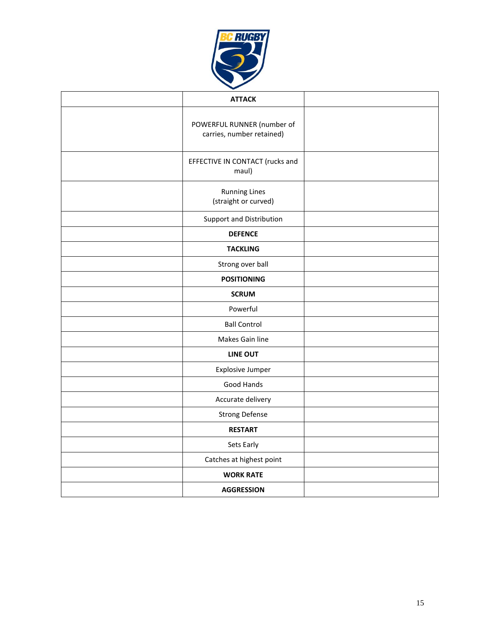

| <b>ATTACK</b>                                           |  |
|---------------------------------------------------------|--|
| POWERFUL RUNNER (number of<br>carries, number retained) |  |
| EFFECTIVE IN CONTACT (rucks and<br>maul)                |  |
| <b>Running Lines</b><br>(straight or curved)            |  |
| Support and Distribution                                |  |
| <b>DEFENCE</b>                                          |  |
| <b>TACKLING</b>                                         |  |
| Strong over ball                                        |  |
| <b>POSITIONING</b>                                      |  |
| <b>SCRUM</b>                                            |  |
| Powerful                                                |  |
| <b>Ball Control</b>                                     |  |
| Makes Gain line                                         |  |
| <b>LINE OUT</b>                                         |  |
| <b>Explosive Jumper</b>                                 |  |
| Good Hands                                              |  |
| Accurate delivery                                       |  |
| <b>Strong Defense</b>                                   |  |
| <b>RESTART</b>                                          |  |
| Sets Early                                              |  |
| Catches at highest point                                |  |
| <b>WORK RATE</b>                                        |  |
| <b>AGGRESSION</b>                                       |  |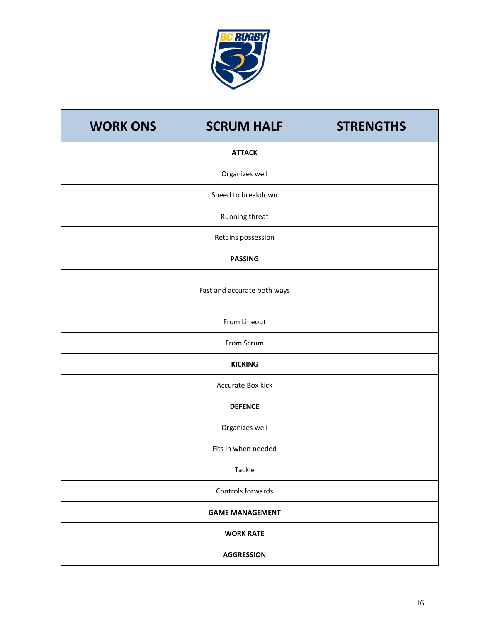

| <b>WORK ONS</b> | <b>SCRUM HALF</b>           | <b>STRENGTHS</b> |
|-----------------|-----------------------------|------------------|
|                 | <b>ATTACK</b>               |                  |
|                 | Organizes well              |                  |
|                 | Speed to breakdown          |                  |
|                 | Running threat              |                  |
|                 | Retains possession          |                  |
|                 | <b>PASSING</b>              |                  |
|                 | Fast and accurate both ways |                  |
|                 | From Lineout                |                  |
|                 | From Scrum                  |                  |
|                 | <b>KICKING</b>              |                  |
|                 | Accurate Box kick           |                  |
|                 | <b>DEFENCE</b>              |                  |
|                 | Organizes well              |                  |
|                 | Fits in when needed         |                  |
|                 | Tackle                      |                  |
|                 | Controls forwards           |                  |
|                 | <b>GAME MANAGEMENT</b>      |                  |
|                 | <b>WORK RATE</b>            |                  |
|                 | <b>AGGRESSION</b>           |                  |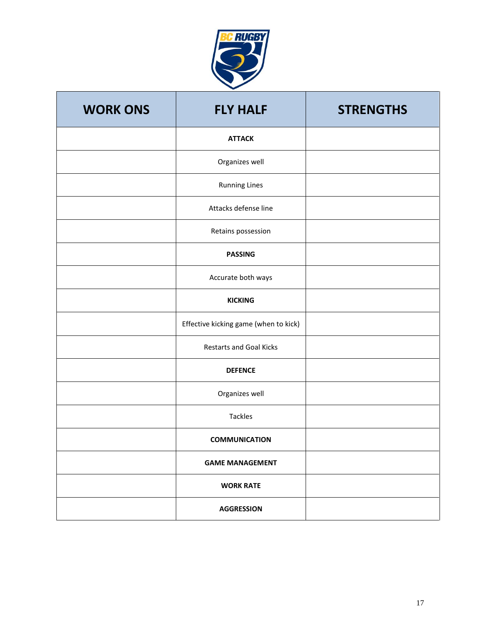

| <b>WORK ONS</b> | <b>FLY HALF</b>                       | <b>STRENGTHS</b> |
|-----------------|---------------------------------------|------------------|
|                 | <b>ATTACK</b>                         |                  |
|                 | Organizes well                        |                  |
|                 | <b>Running Lines</b>                  |                  |
|                 | Attacks defense line                  |                  |
|                 | Retains possession                    |                  |
|                 | <b>PASSING</b>                        |                  |
|                 | Accurate both ways                    |                  |
|                 | <b>KICKING</b>                        |                  |
|                 | Effective kicking game (when to kick) |                  |
|                 | <b>Restarts and Goal Kicks</b>        |                  |
|                 | <b>DEFENCE</b>                        |                  |
|                 | Organizes well                        |                  |
|                 | Tackles                               |                  |
|                 | <b>COMMUNICATION</b>                  |                  |
|                 | <b>GAME MANAGEMENT</b>                |                  |
|                 | <b>WORK RATE</b>                      |                  |
|                 | <b>AGGRESSION</b>                     |                  |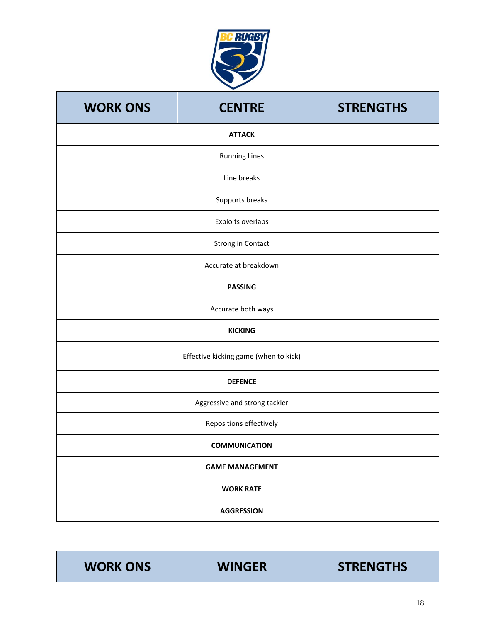

| <b>WORK ONS</b> | <b>CENTRE</b>                         | <b>STRENGTHS</b> |
|-----------------|---------------------------------------|------------------|
|                 | <b>ATTACK</b>                         |                  |
|                 | <b>Running Lines</b>                  |                  |
|                 | Line breaks                           |                  |
|                 | Supports breaks                       |                  |
|                 | Exploits overlaps                     |                  |
|                 | Strong in Contact                     |                  |
|                 | Accurate at breakdown                 |                  |
|                 | <b>PASSING</b>                        |                  |
|                 | Accurate both ways                    |                  |
|                 | <b>KICKING</b>                        |                  |
|                 | Effective kicking game (when to kick) |                  |
|                 | <b>DEFENCE</b>                        |                  |
|                 | Aggressive and strong tackler         |                  |
|                 | Repositions effectively               |                  |
|                 | <b>COMMUNICATION</b>                  |                  |
|                 | <b>GAME MANAGEMENT</b>                |                  |
|                 | <b>WORK RATE</b>                      |                  |
|                 | <b>AGGRESSION</b>                     |                  |

| <b>WORK ONS</b> | <b>WINGER</b> | <b>STRENGTHS</b> |
|-----------------|---------------|------------------|
|-----------------|---------------|------------------|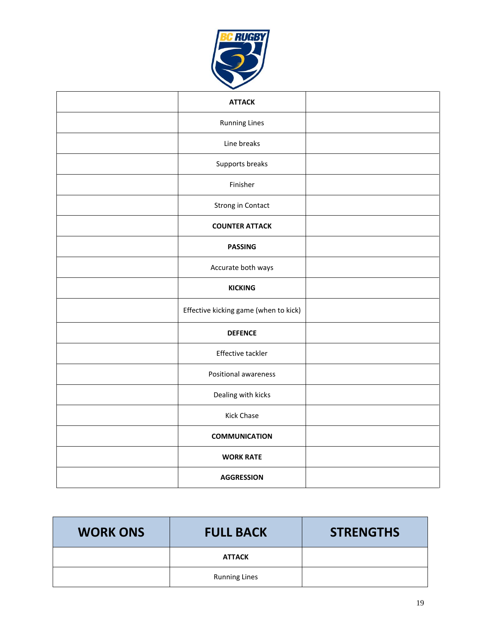

| <b>ATTACK</b>                         |  |
|---------------------------------------|--|
| <b>Running Lines</b>                  |  |
| Line breaks                           |  |
| Supports breaks                       |  |
| Finisher                              |  |
| Strong in Contact                     |  |
| <b>COUNTER ATTACK</b>                 |  |
| <b>PASSING</b>                        |  |
| Accurate both ways                    |  |
| <b>KICKING</b>                        |  |
| Effective kicking game (when to kick) |  |
| <b>DEFENCE</b>                        |  |
| Effective tackler                     |  |
| <b>Positional awareness</b>           |  |
| Dealing with kicks                    |  |
| Kick Chase                            |  |
| <b>COMMUNICATION</b>                  |  |
| <b>WORK RATE</b>                      |  |
| <b>AGGRESSION</b>                     |  |

| <b>WORK ONS</b> | <b>FULL BACK</b>     | <b>STRENGTHS</b> |
|-----------------|----------------------|------------------|
|                 | <b>ATTACK</b>        |                  |
|                 | <b>Running Lines</b> |                  |